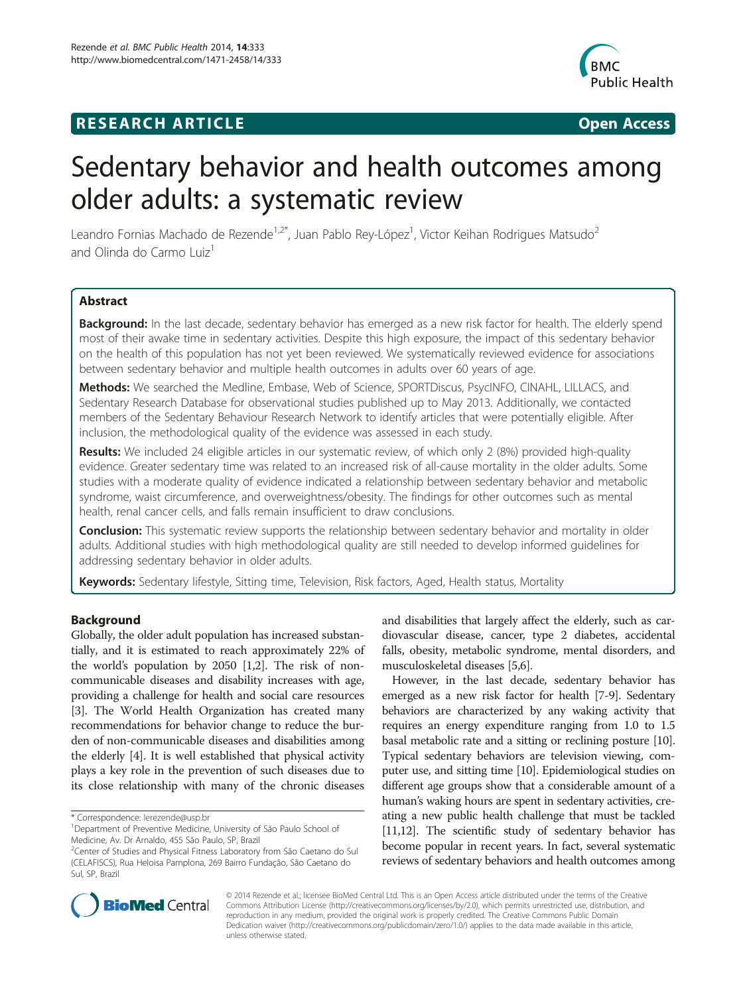## **RESEARCH ARTICLE Example 2018 12:00 Open Access**



# Sedentary behavior and health outcomes among older adults: a systematic review

Leandro Fornias Machado de Rezende<sup>1,2\*</sup>, Juan Pablo Rey-López<sup>1</sup>, Victor Keihan Rodrigues Matsudo<sup>2</sup> and Olinda do Carmo Luiz<sup>1</sup>

#### Abstract

Background: In the last decade, sedentary behavior has emerged as a new risk factor for health. The elderly spend most of their awake time in sedentary activities. Despite this high exposure, the impact of this sedentary behavior on the health of this population has not yet been reviewed. We systematically reviewed evidence for associations between sedentary behavior and multiple health outcomes in adults over 60 years of age.

Methods: We searched the Medline, Embase, Web of Science, SPORTDiscus, PsycINFO, CINAHL, LILLACS, and Sedentary Research Database for observational studies published up to May 2013. Additionally, we contacted members of the Sedentary Behaviour Research Network to identify articles that were potentially eligible. After inclusion, the methodological quality of the evidence was assessed in each study.

Results: We included 24 eligible articles in our systematic review, of which only 2 (8%) provided high-quality evidence. Greater sedentary time was related to an increased risk of all-cause mortality in the older adults. Some studies with a moderate quality of evidence indicated a relationship between sedentary behavior and metabolic syndrome, waist circumference, and overweightness/obesity. The findings for other outcomes such as mental health, renal cancer cells, and falls remain insufficient to draw conclusions.

**Conclusion:** This systematic review supports the relationship between sedentary behavior and mortality in older adults. Additional studies with high methodological quality are still needed to develop informed guidelines for addressing sedentary behavior in older adults.

Keywords: Sedentary lifestyle, Sitting time, Television, Risk factors, Aged, Health status, Mortality

#### Background

Globally, the older adult population has increased substantially, and it is estimated to reach approximately 22% of the world's population by 2050 [[1,2](#page-7-0)]. The risk of noncommunicable diseases and disability increases with age, providing a challenge for health and social care resources [[3\]](#page-7-0). The World Health Organization has created many recommendations for behavior change to reduce the burden of non-communicable diseases and disabilities among the elderly [\[4](#page-7-0)]. It is well established that physical activity plays a key role in the prevention of such diseases due to its close relationship with many of the chronic diseases

and disabilities that largely affect the elderly, such as cardiovascular disease, cancer, type 2 diabetes, accidental falls, obesity, metabolic syndrome, mental disorders, and musculoskeletal diseases [\[5,6\]](#page-7-0).

However, in the last decade, sedentary behavior has emerged as a new risk factor for health [\[7](#page-7-0)-[9](#page-7-0)]. Sedentary behaviors are characterized by any waking activity that requires an energy expenditure ranging from 1.0 to 1.5 basal metabolic rate and a sitting or reclining posture [\[10](#page-7-0)]. Typical sedentary behaviors are television viewing, computer use, and sitting time [\[10](#page-7-0)]. Epidemiological studies on different age groups show that a considerable amount of a human's waking hours are spent in sedentary activities, creating a new public health challenge that must be tackled [[11,12\]](#page-7-0). The scientific study of sedentary behavior has become popular in recent years. In fact, several systematic reviews of sedentary behaviors and health outcomes among



© 2014 Rezende et al.; licensee BioMed Central Ltd. This is an Open Access article distributed under the terms of the Creative Commons Attribution License [\(http://creativecommons.org/licenses/by/2.0\)](http://creativecommons.org/licenses/by/2.0), which permits unrestricted use, distribution, and reproduction in any medium, provided the original work is properly credited. The Creative Commons Public Domain Dedication waiver [\(http://creativecommons.org/publicdomain/zero/1.0/](http://creativecommons.org/publicdomain/zero/1.0/)) applies to the data made available in this article, unless otherwise stated.

<sup>\*</sup> Correspondence: [lerezende@usp.br](mailto:lerezende@usp.br) <sup>1</sup>

<sup>&</sup>lt;sup>1</sup>Department of Preventive Medicine, University of São Paulo School of Medicine, Av. Dr Arnaldo, 455 São Paulo, SP, Brazil

<sup>&</sup>lt;sup>2</sup>Center of Studies and Physical Fitness Laboratory from São Caetano do Sul (CELAFISCS), Rua Heloisa Pamplona, 269 Bairro Fundação, São Caetano do Sul, SP, Brazil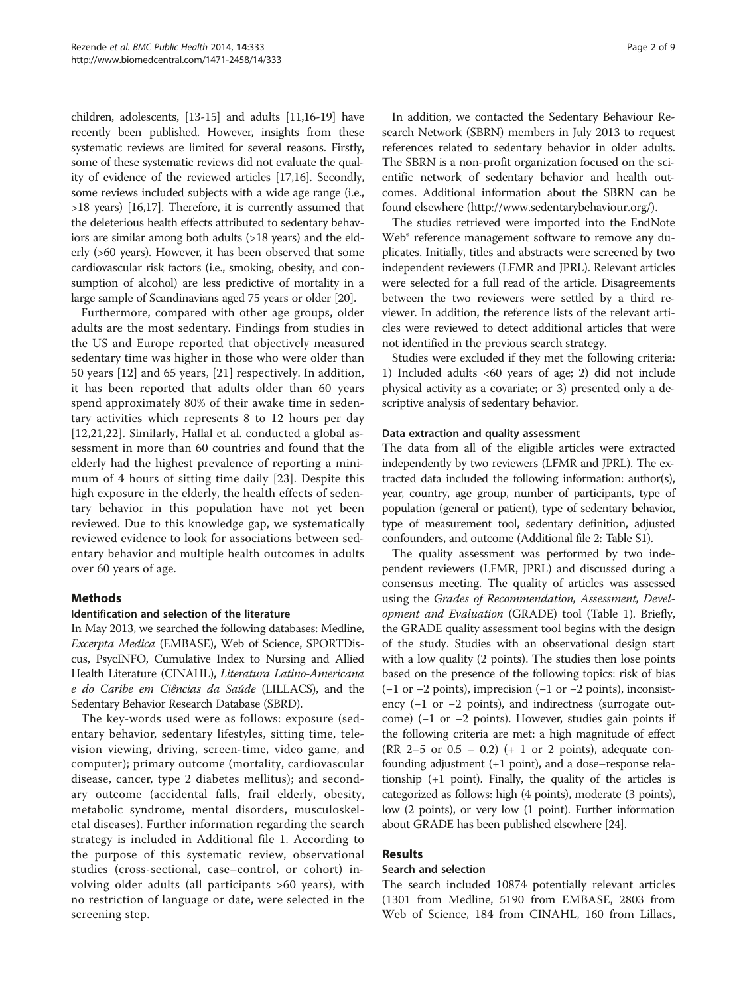children, adolescents, [\[13-15\]](#page-7-0) and adults [\[11,16-19\]](#page-7-0) have recently been published. However, insights from these systematic reviews are limited for several reasons. Firstly, some of these systematic reviews did not evaluate the quality of evidence of the reviewed articles [[17,16\]](#page-7-0). Secondly, some reviews included subjects with a wide age range (i.e., >18 years) [[16,17\]](#page-7-0). Therefore, it is currently assumed that the deleterious health effects attributed to sedentary behaviors are similar among both adults (>18 years) and the elderly (>60 years). However, it has been observed that some cardiovascular risk factors (i.e., smoking, obesity, and consumption of alcohol) are less predictive of mortality in a large sample of Scandinavians aged 75 years or older [[20](#page-7-0)].

Furthermore, compared with other age groups, older adults are the most sedentary. Findings from studies in the US and Europe reported that objectively measured sedentary time was higher in those who were older than 50 years [\[12\]](#page-7-0) and 65 years, [[21\]](#page-7-0) respectively. In addition, it has been reported that adults older than 60 years spend approximately 80% of their awake time in sedentary activities which represents 8 to 12 hours per day [[12,21,22\]](#page-7-0). Similarly, Hallal et al. conducted a global assessment in more than 60 countries and found that the elderly had the highest prevalence of reporting a minimum of 4 hours of sitting time daily [[23](#page-7-0)]. Despite this high exposure in the elderly, the health effects of sedentary behavior in this population have not yet been reviewed. Due to this knowledge gap, we systematically reviewed evidence to look for associations between sedentary behavior and multiple health outcomes in adults over 60 years of age.

#### **Methods**

#### Identification and selection of the literature

In May 2013, we searched the following databases: Medline, Excerpta Medica (EMBASE), Web of Science, SPORTDiscus, PsycINFO, Cumulative Index to Nursing and Allied Health Literature (CINAHL), Literatura Latino-Americana e do Caribe em Ciências da Saúde (LILLACS), and the Sedentary Behavior Research Database (SBRD).

The key-words used were as follows: exposure (sedentary behavior, sedentary lifestyles, sitting time, television viewing, driving, screen-time, video game, and computer); primary outcome (mortality, cardiovascular disease, cancer, type 2 diabetes mellitus); and secondary outcome (accidental falls, frail elderly, obesity, metabolic syndrome, mental disorders, musculoskeletal diseases). Further information regarding the search strategy is included in Additional file [1.](#page-7-0) According to the purpose of this systematic review, observational studies (cross-sectional, case–control, or cohort) involving older adults (all participants >60 years), with no restriction of language or date, were selected in the screening step.

In addition, we contacted the Sedentary Behaviour Research Network (SBRN) members in July 2013 to request references related to sedentary behavior in older adults. The SBRN is a non-profit organization focused on the scientific network of sedentary behavior and health outcomes. Additional information about the SBRN can be found elsewhere [\(http://www.sedentarybehaviour.org/](http://www.sedentarybehaviour.org/)).

The studies retrieved were imported into the EndNote Web<sup>®</sup> reference management software to remove any duplicates. Initially, titles and abstracts were screened by two independent reviewers (LFMR and JPRL). Relevant articles were selected for a full read of the article. Disagreements between the two reviewers were settled by a third reviewer. In addition, the reference lists of the relevant articles were reviewed to detect additional articles that were not identified in the previous search strategy.

Studies were excluded if they met the following criteria: 1) Included adults <60 years of age; 2) did not include physical activity as a covariate; or 3) presented only a descriptive analysis of sedentary behavior.

#### Data extraction and quality assessment

The data from all of the eligible articles were extracted independently by two reviewers (LFMR and JPRL). The extracted data included the following information: author(s), year, country, age group, number of participants, type of population (general or patient), type of sedentary behavior, type of measurement tool, sedentary definition, adjusted confounders, and outcome (Additional file [2](#page-7-0): Table S1).

The quality assessment was performed by two independent reviewers (LFMR, JPRL) and discussed during a consensus meeting. The quality of articles was assessed using the Grades of Recommendation, Assessment, Development and Evaluation (GRADE) tool (Table [1\)](#page-2-0). Briefly, the GRADE quality assessment tool begins with the design of the study. Studies with an observational design start with a low quality (2 points). The studies then lose points based on the presence of the following topics: risk of bias (−1 or −2 points), imprecision (−1 or −2 points), inconsistency (−1 or −2 points), and indirectness (surrogate outcome) (−1 or −2 points). However, studies gain points if the following criteria are met: a high magnitude of effect (RR 2–5 or  $0.5 - 0.2$ ) (+ 1 or 2 points), adequate confounding adjustment (+1 point), and a dose–response relationship (+1 point). Finally, the quality of the articles is categorized as follows: high (4 points), moderate (3 points), low (2 points), or very low (1 point). Further information about GRADE has been published elsewhere [\[24\]](#page-7-0).

#### Results

#### Search and selection

The search included 10874 potentially relevant articles (1301 from Medline, 5190 from EMBASE, 2803 from Web of Science, 184 from CINAHL, 160 from Lillacs,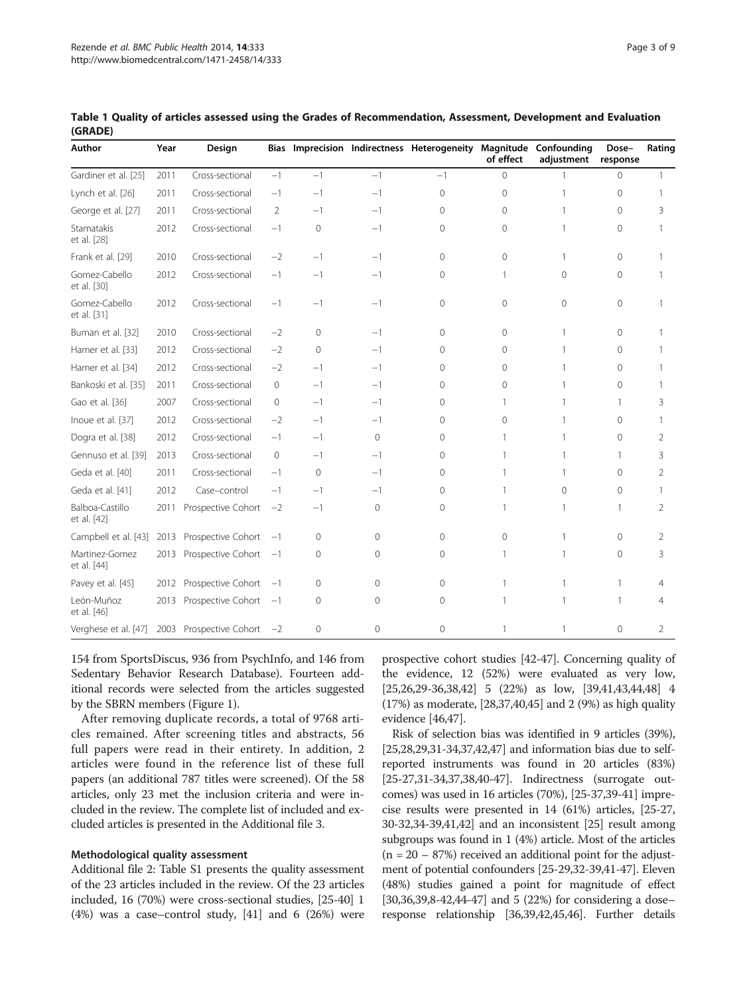| Author                         | Year | Design                                              | Bias     |                |              | Imprecision Indirectness Heterogeneity | of effect    | Magnitude Confounding<br>adjustment | Dose-<br>response | Rating         |
|--------------------------------|------|-----------------------------------------------------|----------|----------------|--------------|----------------------------------------|--------------|-------------------------------------|-------------------|----------------|
| Gardiner et al. [25]           | 2011 | Cross-sectional                                     | $-1$     | $-1$           | $-1$         | $-1$                                   | $\circ$      |                                     | $\mathbf{0}$      | $\mathbf{1}$   |
| Lynch et al. [26]              | 2011 | Cross-sectional                                     | $-1$     | $-1$           | $-1$         | $\Omega$                               | $\Omega$     | $\mathbf{1}$                        | $\Omega$          | 1              |
| George et al. [27]             | 2011 | Cross-sectional                                     | 2        | $-1$           | $-1$         | $\Omega$                               | $\Omega$     |                                     | $\Omega$          | 3              |
| Stamatakis<br>et al. [28]      | 2012 | Cross-sectional                                     | $-1$     | $\mathbf 0$    | $-1$         | $\circ$                                | $\circ$      |                                     | $\mathbf{0}$      | 1              |
| Frank et al. [29]              | 2010 | Cross-sectional                                     | $-2$     | $-1$           | $-1$         | $\Omega$                               | $\Omega$     |                                     | $\Omega$          | -1             |
| Gomez-Cabello<br>et al. [30]   | 2012 | Cross-sectional                                     | $-1$     | $-1$           | $-1$         | 0                                      | $\mathbf{1}$ | $\mathbf{0}$                        | $\mathbf{0}$      |                |
| Gomez-Cabello<br>et al. [31]   | 2012 | Cross-sectional                                     | $-1$     | $-1$           | $-1$         | $\Omega$                               | $\circ$      | $\Omega$                            | $\mathbf{0}$      | 1              |
| Buman et al. [32]              | 2010 | Cross-sectional                                     | $-2$     | $\mathbf{0}$   | $-1$         | $\mathbf{0}$                           | $\circ$      |                                     | $\mathbf{0}$      | -1             |
| Hamer et al. [33]              | 2012 | Cross-sectional                                     | $-2$     | $\mathbf{0}$   | $-1$         | 0                                      | $\circ$      |                                     | $\Omega$          |                |
| Hamer et al. [34]              | 2012 | Cross-sectional                                     | $-2$     | $-1$           | $-1$         | $\Omega$                               | $\circ$      |                                     | $\Omega$          |                |
| Bankoski et al. [35]           | 2011 | Cross-sectional                                     | $\Omega$ | $-1$           | $-1$         | $\Omega$                               | $\Omega$     |                                     | $\Omega$          | 1              |
| Gao et al. [36]                | 2007 | Cross-sectional                                     | $\Omega$ | $-1$           | $-1$         | $\Omega$                               | 1            |                                     | 1                 | 3              |
| Inoue et al. [37]              | 2012 | Cross-sectional                                     | $-2$     | $-1$           | $-1$         | $\mathbf{0}$                           | $\circ$      |                                     | $\Omega$          | 1              |
| Dogra et al. [38]              | 2012 | Cross-sectional                                     | $-1$     | $-1$           | $\mathbf{0}$ | $\Omega$                               | 1            |                                     | $\Omega$          | 2              |
| Gennuso et al. [39]            | 2013 | Cross-sectional                                     | $\Omega$ | $-1$           | $-1$         | $\mathbf{0}$                           | 1            |                                     | $\mathbf{1}$      | 3              |
| Geda et al. [40]               | 2011 | Cross-sectional                                     | $-1$     | $\mathbf 0$    | $-1$         | $\mathbf{0}$                           | 1            |                                     | $\Omega$          | 2              |
| Geda et al. [41]               | 2012 | Case-control                                        | $-1$     | $-1$           | $-1$         | $\mathbf{0}$                           | $\mathbf{1}$ | $\Omega$                            | $\mathbf{0}$      | 1              |
| Balboa-Castillo<br>et al. [42] |      | 2011 Prospective Cohort                             | $-2$     | $-1$           | $\Omega$     | $\Omega$                               | 1            |                                     | 1                 | 2              |
| Campbell et al. [43]           | 2013 | Prospective Cohort                                  | $-1$     | $\mathbf{0}$   | $\Omega$     | $\Omega$                               | $\circ$      |                                     | $\Omega$          | 2              |
| Martinez-Gomez<br>et al. [44]  |      | 2013 Prospective Cohort                             | $-1$     | $\mathbf 0$    | $\Omega$     | $\mathbf{0}$                           | 1            |                                     | $\Omega$          | 3              |
| Pavey et al. [45]              | 2012 | Prospective Cohort                                  | $-1$     | $\mathbf{0}$   | $\Omega$     | $\mathbf{0}$                           | 1            |                                     | 1                 | 4              |
| León-Muñoz<br>et al. [46]      |      | 2013 Prospective Cohort                             | $-1$     | $\mathbf 0$    | $\Omega$     | $\mathbf{0}$                           | 1            |                                     | 1                 | 4              |
|                                |      | Verghese et al. $[47]$ 2003 Prospective Cohort $-2$ |          | $\overline{0}$ | $\mathbf{0}$ | $\mathbf{0}$                           | 1            |                                     | $\mathbf{0}$      | $\overline{2}$ |

<span id="page-2-0"></span>Table 1 Quality of articles assessed using the Grades of Recommendation, Assessment, Development and Evaluation (GRADE)

154 from SportsDiscus, 936 from PsychInfo, and 146 from Sedentary Behavior Research Database). Fourteen additional records were selected from the articles suggested by the SBRN members (Figure [1\)](#page-3-0).

After removing duplicate records, a total of 9768 articles remained. After screening titles and abstracts, 56 full papers were read in their entirety. In addition, 2 articles were found in the reference list of these full papers (an additional 787 titles were screened). Of the 58 articles, only 23 met the inclusion criteria and were included in the review. The complete list of included and excluded articles is presented in the Additional file [3.](#page-7-0)

#### Methodological quality assessment

Additional file [2:](#page-7-0) Table S1 presents the quality assessment of the 23 articles included in the review. Of the 23 articles included, 16 (70%) were cross-sectional studies, [\[25](#page-7-0)-[40](#page-8-0)] 1 (4%) was a case–control study, [[41](#page-8-0)] and 6 (26%) were prospective cohort studies [\[42-47\]](#page-8-0). Concerning quality of the evidence, 12 (52%) were evaluated as very low, [[25,26,29](#page-7-0)[-36,38](#page-8-0),[42](#page-8-0)] 5 (22%) as low, [[39,41,43,44,48](#page-8-0)] 4 (17%) as moderate, [[28](#page-7-0)[,37,40,45](#page-8-0)] and 2 (9%) as high quality evidence [\[46,47](#page-8-0)].

Risk of selection bias was identified in 9 articles (39%), [[25,28,29,](#page-7-0)[31](#page-8-0)-[34](#page-8-0),[37,42,47](#page-8-0)] and information bias due to selfreported instruments was found in 20 articles (83%) [[25](#page-7-0)-[27,](#page-7-0)[31](#page-8-0)-[34,37,38,40](#page-8-0)-[47](#page-8-0)]. Indirectness (surrogate outcomes) was used in 16 articles (70%), [\[25](#page-7-0)[-37,39-41\]](#page-8-0) imprecise results were presented in 14 (61%) articles, [[25](#page-7-0)-[27](#page-7-0), [30](#page-8-0)-[32,34](#page-8-0)-[39,41,42\]](#page-8-0) and an inconsistent [[25](#page-7-0)] result among subgroups was found in 1 (4%) article. Most of the articles  $(n = 20 - 87%)$  received an additional point for the adjustment of potential confounders [\[25-29,](#page-7-0)[32-39,41](#page-8-0)-[47](#page-8-0)]. Eleven (48%) studies gained a point for magnitude of effect [[30,36,39,](#page-8-0)[8-](#page-7-0)[42,44](#page-8-0)-[47](#page-8-0)] and 5 (22%) for considering a dose– response relationship [[36,39,42,45,46\]](#page-8-0). Further details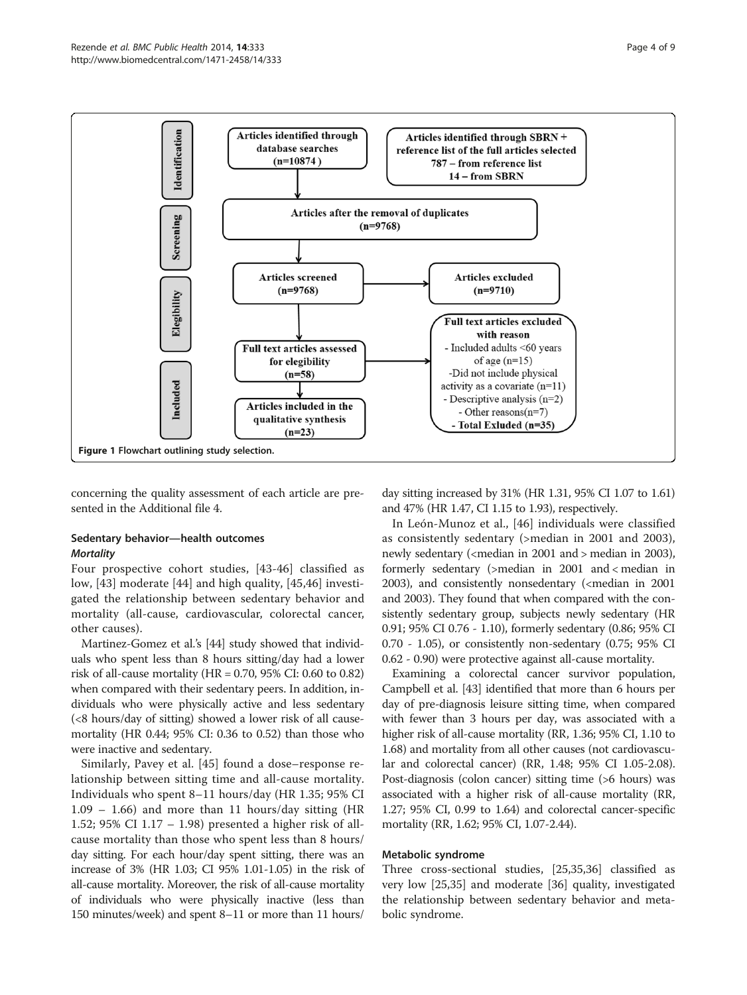<span id="page-3-0"></span>

concerning the quality assessment of each article are presented in the Additional file [4](#page-7-0).

### Sedentary behavior—health outcomes **Mortality**

Four prospective cohort studies, [\[43](#page-8-0)-[46\]](#page-8-0) classified as low, [[43\]](#page-8-0) moderate [[44\]](#page-8-0) and high quality, [[45,46\]](#page-8-0) investigated the relationship between sedentary behavior and mortality (all-cause, cardiovascular, colorectal cancer, other causes).

Martinez-Gomez et al.'s [\[44\]](#page-8-0) study showed that individuals who spent less than 8 hours sitting/day had a lower risk of all-cause mortality (HR = 0.70, 95% CI: 0.60 to 0.82) when compared with their sedentary peers. In addition, individuals who were physically active and less sedentary (<8 hours/day of sitting) showed a lower risk of all causemortality (HR 0.44; 95% CI: 0.36 to 0.52) than those who were inactive and sedentary.

Similarly, Pavey et al. [\[45](#page-8-0)] found a dose–response relationship between sitting time and all-cause mortality. Individuals who spent 8–11 hours/day (HR 1.35; 95% CI 1.09 – 1.66) and more than 11 hours/day sitting (HR 1.52; 95% CI 1.17 – 1.98) presented a higher risk of allcause mortality than those who spent less than 8 hours/ day sitting. For each hour/day spent sitting, there was an increase of 3% (HR 1.03; CI 95% 1.01-1.05) in the risk of all-cause mortality. Moreover, the risk of all-cause mortality of individuals who were physically inactive (less than 150 minutes/week) and spent 8–11 or more than 11 hours/

day sitting increased by 31% (HR 1.31, 95% CI 1.07 to 1.61) and 47% (HR 1.47, CI 1.15 to 1.93), respectively.

In León-Munoz et al., [\[46](#page-8-0)] individuals were classified as consistently sedentary (>median in 2001 and 2003), newly sedentary (<median in 2001 and > median in 2003), formerly sedentary (>median in 2001 and < median in 2003), and consistently nonsedentary (<median in 2001 and 2003). They found that when compared with the consistently sedentary group, subjects newly sedentary (HR 0.91; 95% CI 0.76 - 1.10), formerly sedentary (0.86; 95% CI 0.70 - 1.05), or consistently non-sedentary (0.75; 95% CI 0.62 - 0.90) were protective against all-cause mortality.

Examining a colorectal cancer survivor population, Campbell et al. [[43](#page-8-0)] identified that more than 6 hours per day of pre-diagnosis leisure sitting time, when compared with fewer than 3 hours per day, was associated with a higher risk of all-cause mortality (RR, 1.36; 95% CI, 1.10 to 1.68) and mortality from all other causes (not cardiovascular and colorectal cancer) (RR, 1.48; 95% CI 1.05-2.08). Post-diagnosis (colon cancer) sitting time (>6 hours) was associated with a higher risk of all-cause mortality (RR, 1.27; 95% CI, 0.99 to 1.64) and colorectal cancer-specific mortality (RR, 1.62; 95% CI, 1.07-2.44).

#### Metabolic syndrome

Three cross-sectional studies, [\[25](#page-7-0)[,35,36](#page-8-0)] classified as very low [[25,](#page-7-0)[35\]](#page-8-0) and moderate [[36\]](#page-8-0) quality, investigated the relationship between sedentary behavior and metabolic syndrome.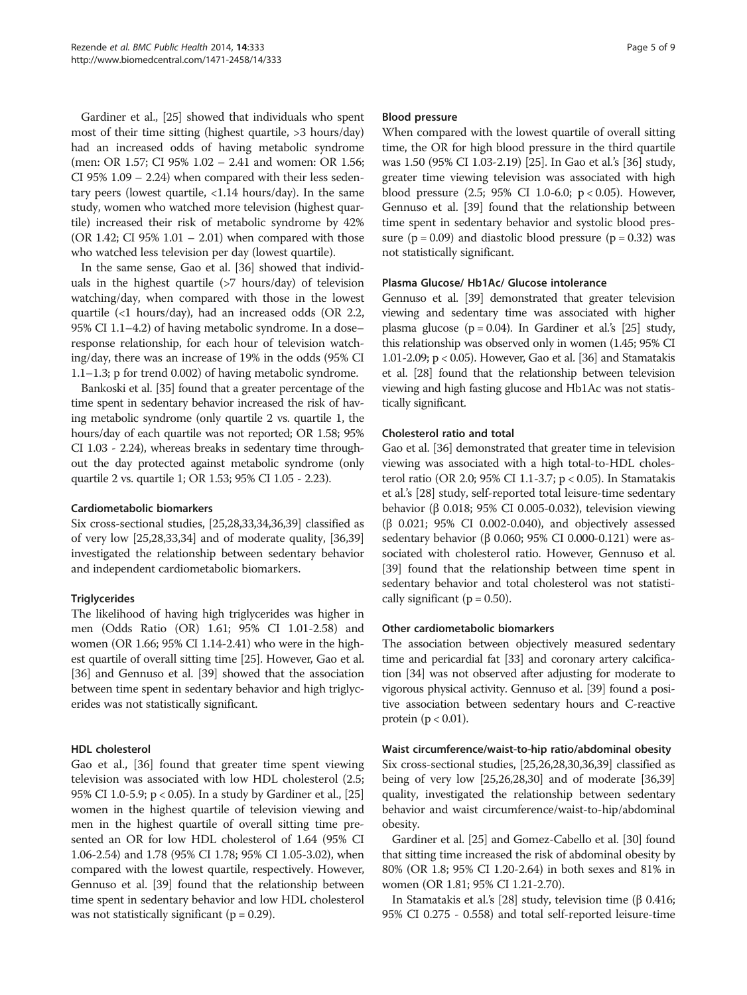Gardiner et al., [[25](#page-7-0)] showed that individuals who spent most of their time sitting (highest quartile, >3 hours/day) had an increased odds of having metabolic syndrome (men: OR 1.57; CI 95% 1.02 – 2.41 and women: OR 1.56; CI 95%  $1.09 - 2.24$ ) when compared with their less sedentary peers (lowest quartile, <1.14 hours/day). In the same study, women who watched more television (highest quartile) increased their risk of metabolic syndrome by 42% (OR 1.42; CI 95% 1.01 – 2.01) when compared with those who watched less television per day (lowest quartile).

In the same sense, Gao et al. [\[36](#page-8-0)] showed that individuals in the highest quartile (>7 hours/day) of television watching/day, when compared with those in the lowest quartile (<1 hours/day), had an increased odds (OR 2.2, 95% CI 1.1–4.2) of having metabolic syndrome. In a dose– response relationship, for each hour of television watching/day, there was an increase of 19% in the odds (95% CI 1.1–1.3; p for trend 0.002) of having metabolic syndrome.

Bankoski et al. [\[35\]](#page-8-0) found that a greater percentage of the time spent in sedentary behavior increased the risk of having metabolic syndrome (only quartile 2 vs. quartile 1, the hours/day of each quartile was not reported; OR 1.58; 95% CI 1.03 - 2.24), whereas breaks in sedentary time throughout the day protected against metabolic syndrome (only quartile 2 vs. quartile 1; OR 1.53; 95% CI 1.05 - 2.23).

#### Cardiometabolic biomarkers

Six cross-sectional studies, [[25,28,](#page-7-0)[33,34,36,39\]](#page-8-0) classified as of very low [\[25,28](#page-7-0)[,33,34\]](#page-8-0) and of moderate quality, [\[36,39](#page-8-0)] investigated the relationship between sedentary behavior and independent cardiometabolic biomarkers.

#### **Triglycerides**

The likelihood of having high triglycerides was higher in men (Odds Ratio (OR) 1.61; 95% CI 1.01-2.58) and women (OR 1.66; 95% CI 1.14-2.41) who were in the highest quartile of overall sitting time [[25](#page-7-0)]. However, Gao et al. [[36](#page-8-0)] and Gennuso et al. [\[39\]](#page-8-0) showed that the association between time spent in sedentary behavior and high triglycerides was not statistically significant.

#### HDL cholesterol

Gao et al., [[36](#page-8-0)] found that greater time spent viewing television was associated with low HDL cholesterol (2.5; 95% CI 1.0-5.9; p < 0.05). In a study by Gardiner et al., [[25](#page-7-0)] women in the highest quartile of television viewing and men in the highest quartile of overall sitting time presented an OR for low HDL cholesterol of 1.64 (95% CI 1.06-2.54) and 1.78 (95% CI 1.78; 95% CI 1.05-3.02), when compared with the lowest quartile, respectively. However, Gennuso et al. [[39](#page-8-0)] found that the relationship between time spent in sedentary behavior and low HDL cholesterol was not statistically significant ( $p = 0.29$ ).

#### Blood pressure

When compared with the lowest quartile of overall sitting time, the OR for high blood pressure in the third quartile was 1.50 (95% CI 1.03-2.19) [[25](#page-7-0)]. In Gao et al.'s [[36](#page-8-0)] study, greater time viewing television was associated with high blood pressure (2.5; 95% CI 1.0-6.0; p < 0.05). However, Gennuso et al. [[39](#page-8-0)] found that the relationship between time spent in sedentary behavior and systolic blood pressure  $(p = 0.09)$  and diastolic blood pressure  $(p = 0.32)$  was not statistically significant.

#### Plasma Glucose/ Hb1Ac/ Glucose intolerance

Gennuso et al. [\[39\]](#page-8-0) demonstrated that greater television viewing and sedentary time was associated with higher plasma glucose ( $p = 0.04$ ). In Gardiner et al.'s [[25\]](#page-7-0) study, this relationship was observed only in women (1.45; 95% CI 1.01-2.09; p < 0.05). However, Gao et al. [\[36\]](#page-8-0) and Stamatakis et al. [[28](#page-7-0)] found that the relationship between television viewing and high fasting glucose and Hb1Ac was not statistically significant.

#### Cholesterol ratio and total

Gao et al. [\[36\]](#page-8-0) demonstrated that greater time in television viewing was associated with a high total-to-HDL cholesterol ratio (OR 2.0; 95% CI 1.1-3.7; p < 0.05). In Stamatakis et al.'s [\[28](#page-7-0)] study, self-reported total leisure-time sedentary behavior (β 0.018; 95% CI 0.005-0.032), television viewing (β 0.021; 95% CI 0.002-0.040), and objectively assessed sedentary behavior (β 0.060; 95% CI 0.000-0.121) were associated with cholesterol ratio. However, Gennuso et al. [[39](#page-8-0)] found that the relationship between time spent in sedentary behavior and total cholesterol was not statistically significant ( $p = 0.50$ ).

#### Other cardiometabolic biomarkers

The association between objectively measured sedentary time and pericardial fat [\[33\]](#page-8-0) and coronary artery calcification [[34](#page-8-0)] was not observed after adjusting for moderate to vigorous physical activity. Gennuso et al. [[39](#page-8-0)] found a positive association between sedentary hours and C-reactive protein ( $p < 0.01$ ).

Waist circumference/waist-to-hip ratio/abdominal obesity

Six cross-sectional studies, [[25,26,28,](#page-7-0)[30,36,39\]](#page-8-0) classified as being of very low [[25,26,28,](#page-7-0)[30](#page-8-0)] and of moderate [\[36,39](#page-8-0)] quality, investigated the relationship between sedentary behavior and waist circumference/waist-to-hip/abdominal obesity.

Gardiner et al. [\[25\]](#page-7-0) and Gomez-Cabello et al. [[30](#page-8-0)] found that sitting time increased the risk of abdominal obesity by 80% (OR 1.8; 95% CI 1.20-2.64) in both sexes and 81% in women (OR 1.81; 95% CI 1.21-2.70).

In Stamatakis et al.'s [\[28](#page-7-0)] study, television time (β 0.416; 95% CI 0.275 - 0.558) and total self-reported leisure-time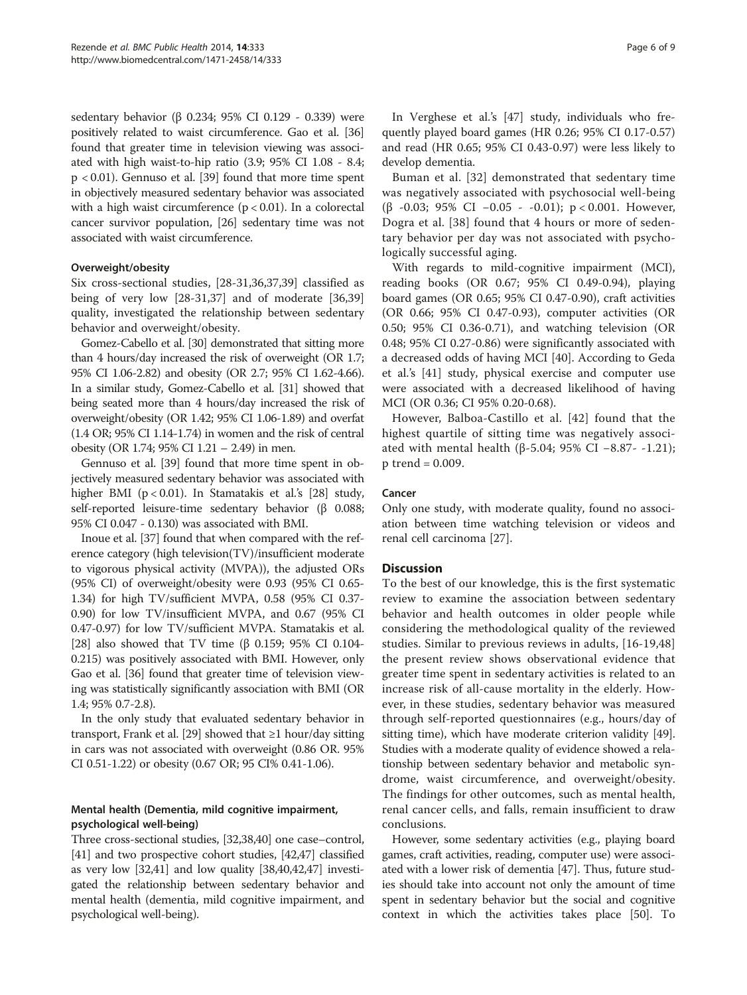sedentary behavior (β 0.234; 95% CI 0.129 - 0.339) were positively related to waist circumference. Gao et al. [[36](#page-8-0)] found that greater time in television viewing was associated with high waist-to-hip ratio (3.9; 95% CI 1.08 - 8.4; p < 0.01). Gennuso et al. [\[39\]](#page-8-0) found that more time spent in objectively measured sedentary behavior was associated with a high waist circumference  $(p < 0.01)$ . In a colorectal cancer survivor population, [\[26](#page-7-0)] sedentary time was not associated with waist circumference.

#### Overweight/obesity

Six cross-sectional studies, [\[28](#page-7-0)-[31](#page-8-0),[36](#page-8-0),[37](#page-8-0),[39](#page-8-0)] classified as being of very low [\[28-](#page-7-0)[31](#page-8-0),[37](#page-8-0)] and of moderate [[36](#page-8-0),[39](#page-8-0)] quality, investigated the relationship between sedentary behavior and overweight/obesity.

Gomez-Cabello et al. [[30](#page-8-0)] demonstrated that sitting more than 4 hours/day increased the risk of overweight (OR 1.7; 95% CI 1.06-2.82) and obesity (OR 2.7; 95% CI 1.62-4.66). In a similar study, Gomez-Cabello et al. [\[31\]](#page-8-0) showed that being seated more than 4 hours/day increased the risk of overweight/obesity (OR 1.42; 95% CI 1.06-1.89) and overfat (1.4 OR; 95% CI 1.14-1.74) in women and the risk of central obesity (OR 1.74; 95% CI 1.21 – 2.49) in men.

Gennuso et al. [\[39\]](#page-8-0) found that more time spent in objectively measured sedentary behavior was associated with higher BMI ( $p < 0.01$ ). In Stamatakis et al.'s [\[28\]](#page-7-0) study, self-reported leisure-time sedentary behavior (β 0.088; 95% CI 0.047 - 0.130) was associated with BMI.

Inoue et al. [[37](#page-8-0)] found that when compared with the reference category (high television(TV)/insufficient moderate to vigorous physical activity (MVPA)), the adjusted ORs (95% CI) of overweight/obesity were 0.93 (95% CI 0.65- 1.34) for high TV/sufficient MVPA, 0.58 (95% CI 0.37- 0.90) for low TV/insufficient MVPA, and 0.67 (95% CI 0.47-0.97) for low TV/sufficient MVPA. Stamatakis et al. [[28](#page-7-0)] also showed that TV time (β 0.159; 95% CI 0.104- 0.215) was positively associated with BMI. However, only Gao et al. [[36](#page-8-0)] found that greater time of television viewing was statistically significantly association with BMI (OR 1.4; 95% 0.7-2.8).

In the only study that evaluated sedentary behavior in transport, Frank et al. [\[29\]](#page-7-0) showed that ≥1 hour/day sitting in cars was not associated with overweight (0.86 OR. 95% CI 0.51-1.22) or obesity (0.67 OR; 95 CI% 0.41-1.06).

#### Mental health (Dementia, mild cognitive impairment, psychological well-being)

Three cross-sectional studies, [[32,38,40\]](#page-8-0) one case–control, [[41](#page-8-0)] and two prospective cohort studies, [\[42,47](#page-8-0)] classified as very low [\[32,41\]](#page-8-0) and low quality [[38,40,42,47](#page-8-0)] investigated the relationship between sedentary behavior and mental health (dementia, mild cognitive impairment, and psychological well-being).

In Verghese et al.'s [[47\]](#page-8-0) study, individuals who frequently played board games (HR 0.26; 95% CI 0.17-0.57) and read (HR 0.65; 95% CI 0.43-0.97) were less likely to develop dementia.

Buman et al. [[32](#page-8-0)] demonstrated that sedentary time was negatively associated with psychosocial well-being (β -0.03; 95% CI −0.05 - -0.01); p < 0.001. However, Dogra et al. [\[38](#page-8-0)] found that 4 hours or more of sedentary behavior per day was not associated with psychologically successful aging.

With regards to mild-cognitive impairment (MCI), reading books (OR 0.67; 95% CI 0.49-0.94), playing board games (OR 0.65; 95% CI 0.47-0.90), craft activities (OR 0.66; 95% CI 0.47-0.93), computer activities (OR 0.50; 95% CI 0.36-0.71), and watching television (OR 0.48; 95% CI 0.27-0.86) were significantly associated with a decreased odds of having MCI [[40\]](#page-8-0). According to Geda et al.'s [\[41](#page-8-0)] study, physical exercise and computer use were associated with a decreased likelihood of having MCI (OR 0.36; CI 95% 0.20-0.68).

However, Balboa-Castillo et al. [\[42\]](#page-8-0) found that the highest quartile of sitting time was negatively associated with mental health ( $\beta$ -5.04; 95% CI −8.87- -1.21); p trend = 0.009.

#### Cancer

Only one study, with moderate quality, found no association between time watching television or videos and renal cell carcinoma [[27](#page-7-0)].

#### **Discussion**

To the best of our knowledge, this is the first systematic review to examine the association between sedentary behavior and health outcomes in older people while considering the methodological quality of the reviewed studies. Similar to previous reviews in adults, [\[16](#page-7-0)-[19](#page-7-0)[,48](#page-8-0)] the present review shows observational evidence that greater time spent in sedentary activities is related to an increase risk of all-cause mortality in the elderly. However, in these studies, sedentary behavior was measured through self-reported questionnaires (e.g., hours/day of sitting time), which have moderate criterion validity [[49](#page-8-0)]. Studies with a moderate quality of evidence showed a relationship between sedentary behavior and metabolic syndrome, waist circumference, and overweight/obesity. The findings for other outcomes, such as mental health, renal cancer cells, and falls, remain insufficient to draw conclusions.

However, some sedentary activities (e.g., playing board games, craft activities, reading, computer use) were associated with a lower risk of dementia [[47](#page-8-0)]. Thus, future studies should take into account not only the amount of time spent in sedentary behavior but the social and cognitive context in which the activities takes place [\[50](#page-8-0)]. To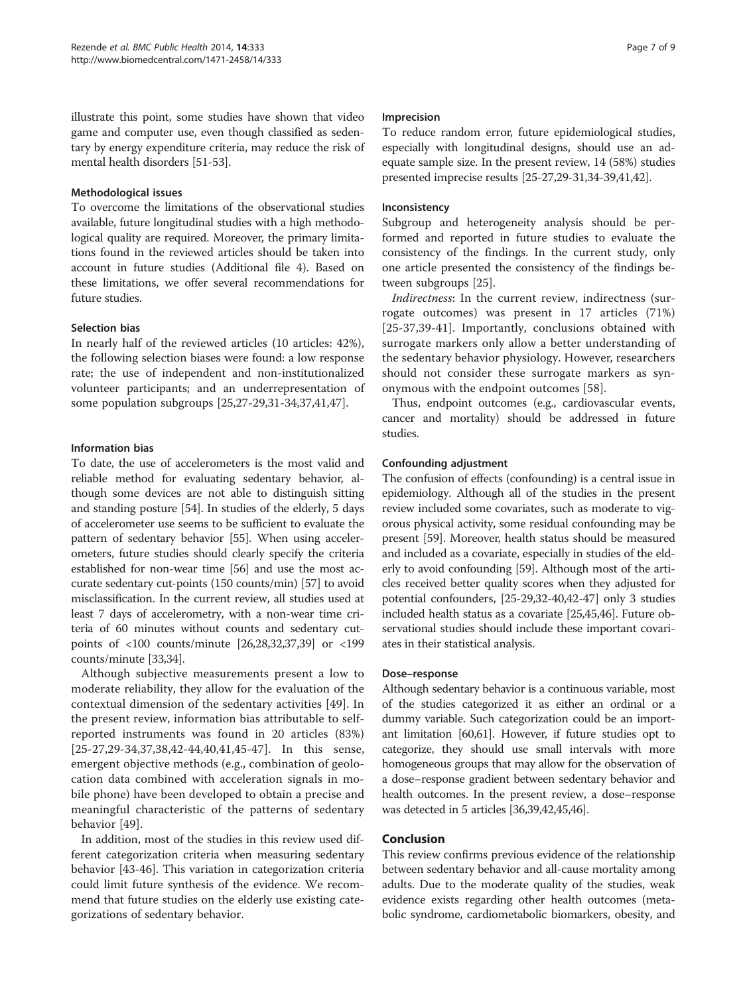illustrate this point, some studies have shown that video game and computer use, even though classified as sedentary by energy expenditure criteria, may reduce the risk of mental health disorders [\[51-53](#page-8-0)].

#### Methodological issues

To overcome the limitations of the observational studies available, future longitudinal studies with a high methodological quality are required. Moreover, the primary limitations found in the reviewed articles should be taken into account in future studies (Additional file [4](#page-7-0)). Based on these limitations, we offer several recommendations for future studies.

#### Selection bias

In nearly half of the reviewed articles (10 articles: 42%), the following selection biases were found: a low response rate; the use of independent and non-institutionalized volunteer participants; and an underrepresentation of some population subgroups [\[25,27](#page-7-0)-[29](#page-7-0),[31-34,37,41,47\]](#page-8-0).

#### Information bias

To date, the use of accelerometers is the most valid and reliable method for evaluating sedentary behavior, although some devices are not able to distinguish sitting and standing posture [\[54](#page-8-0)]. In studies of the elderly, 5 days of accelerometer use seems to be sufficient to evaluate the pattern of sedentary behavior [[55](#page-8-0)]. When using accelerometers, future studies should clearly specify the criteria established for non-wear time [\[56\]](#page-8-0) and use the most accurate sedentary cut-points (150 counts/min) [\[57\]](#page-8-0) to avoid misclassification. In the current review, all studies used at least 7 days of accelerometry, with a non-wear time criteria of 60 minutes without counts and sedentary cutpoints of <100 counts/minute [\[26,28](#page-7-0)[,32,37,39](#page-8-0)] or <199 counts/minute [\[33,34](#page-8-0)].

Although subjective measurements present a low to moderate reliability, they allow for the evaluation of the contextual dimension of the sedentary activities [[49](#page-8-0)]. In the present review, information bias attributable to selfreported instruments was found in 20 articles (83%) [[25-27,29-](#page-7-0)[34,37,38,42](#page-8-0)-[44,40](#page-8-0),[41,45-47\]](#page-8-0). In this sense, emergent objective methods (e.g., combination of geolocation data combined with acceleration signals in mobile phone) have been developed to obtain a precise and meaningful characteristic of the patterns of sedentary behavior [\[49](#page-8-0)].

In addition, most of the studies in this review used different categorization criteria when measuring sedentary behavior [\[43-46](#page-8-0)]. This variation in categorization criteria could limit future synthesis of the evidence. We recommend that future studies on the elderly use existing categorizations of sedentary behavior.

#### Imprecision

To reduce random error, future epidemiological studies, especially with longitudinal designs, should use an adequate sample size. In the present review, 14 (58%) studies presented imprecise results [\[25-27,29](#page-7-0)-[31](#page-8-0),[34](#page-8-0)-[39,41,42\]](#page-8-0).

#### Inconsistency

Subgroup and heterogeneity analysis should be performed and reported in future studies to evaluate the consistency of the findings. In the current study, only one article presented the consistency of the findings between subgroups [\[25\]](#page-7-0).

Indirectness: In the current review, indirectness (surrogate outcomes) was present in 17 articles (71%) [[25](#page-7-0)-[37,39-41\]](#page-8-0). Importantly, conclusions obtained with surrogate markers only allow a better understanding of the sedentary behavior physiology. However, researchers should not consider these surrogate markers as synonymous with the endpoint outcomes [\[58](#page-8-0)].

Thus, endpoint outcomes (e.g., cardiovascular events, cancer and mortality) should be addressed in future studies.

#### Confounding adjustment

The confusion of effects (confounding) is a central issue in epidemiology. Although all of the studies in the present review included some covariates, such as moderate to vigorous physical activity, some residual confounding may be present [[59](#page-8-0)]. Moreover, health status should be measured and included as a covariate, especially in studies of the elderly to avoid confounding [\[59\]](#page-8-0). Although most of the articles received better quality scores when they adjusted for potential confounders, [\[25-29](#page-7-0)[,32-40,42-47\]](#page-8-0) only 3 studies included health status as a covariate [[25](#page-7-0)[,45,46\]](#page-8-0). Future observational studies should include these important covariates in their statistical analysis.

#### Dose–response

Although sedentary behavior is a continuous variable, most of the studies categorized it as either an ordinal or a dummy variable. Such categorization could be an important limitation [\[60,61](#page-8-0)]. However, if future studies opt to categorize, they should use small intervals with more homogeneous groups that may allow for the observation of a dose–response gradient between sedentary behavior and health outcomes. In the present review, a dose–response was detected in 5 articles [\[36,39,42,45,46\]](#page-8-0).

#### Conclusion

This review confirms previous evidence of the relationship between sedentary behavior and all-cause mortality among adults. Due to the moderate quality of the studies, weak evidence exists regarding other health outcomes (metabolic syndrome, cardiometabolic biomarkers, obesity, and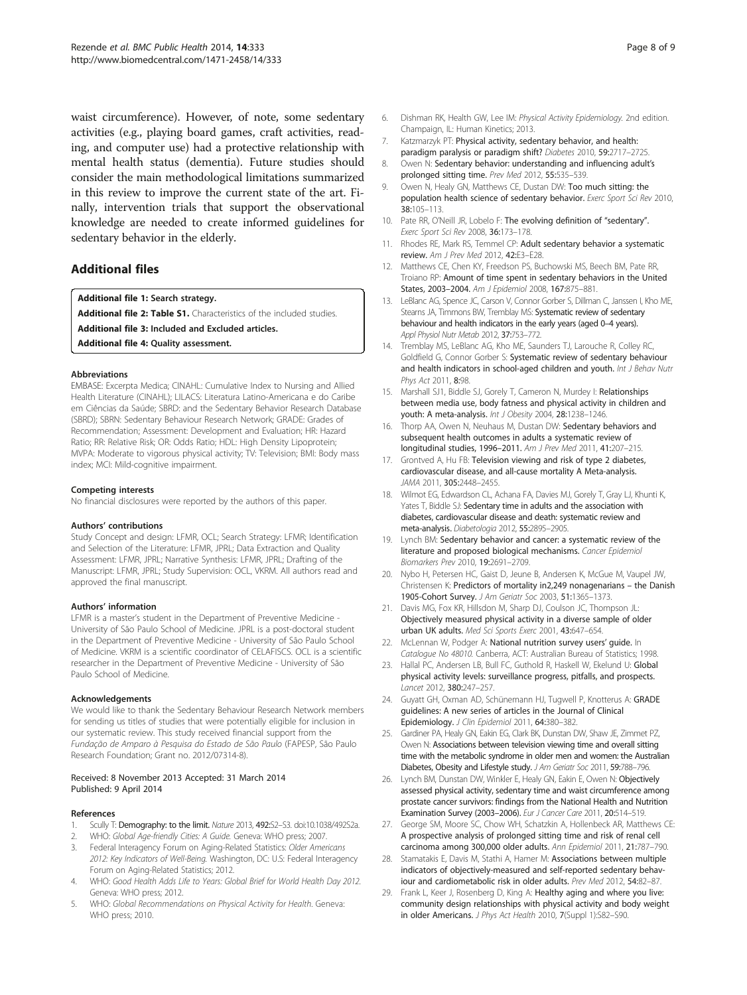<span id="page-7-0"></span>waist circumference). However, of note, some sedentary activities (e.g., playing board games, craft activities, reading, and computer use) had a protective relationship with mental health status (dementia). Future studies should consider the main methodological limitations summarized in this review to improve the current state of the art. Finally, intervention trials that support the observational knowledge are needed to create informed guidelines for sedentary behavior in the elderly.

#### Additional files

[Additional file 1:](http://www.biomedcentral.com/content/supplementary/1471-2458-14-333-S1.docx) Search strategy.

[Additional file 2: Table S1.](http://www.biomedcentral.com/content/supplementary/1471-2458-14-333-S2.doc) Characteristics of the included studies.

[Additional file 3:](http://www.biomedcentral.com/content/supplementary/1471-2458-14-333-S3.doc) Included and Excluded articles.

[Additional file 4:](http://www.biomedcentral.com/content/supplementary/1471-2458-14-333-S4.docx) Quality assessment.

#### Abbreviations

EMBASE: Excerpta Medica; CINAHL: Cumulative Index to Nursing and Allied Health Literature (CINAHL); LILACS: Literatura Latino-Americana e do Caribe em Ciências da Saúde; SBRD: and the Sedentary Behavior Research Database (SBRD); SBRN: Sedentary Behaviour Research Network; GRADE: Grades of Recommendation; Assessment: Development and Evaluation; HR: Hazard Ratio; RR: Relative Risk; OR: Odds Ratio; HDL: High Density Lipoprotein; MVPA: Moderate to vigorous physical activity; TV: Television; BMI: Body mass index; MCI: Mild-cognitive impairment.

#### Competing interests

No financial disclosures were reported by the authors of this paper.

#### Authors' contributions

Study Concept and design: LFMR, OCL; Search Strategy: LFMR; Identification and Selection of the Literature: LFMR, JPRL; Data Extraction and Quality Assessment: LFMR, JPRL; Narrative Synthesis: LFMR, JPRL; Drafting of the Manuscript: LFMR, JPRL; Study Supervision: OCL, VKRM. All authors read and approved the final manuscript.

#### Authors' information

LFMR is a master's student in the Department of Preventive Medicine - University of São Paulo School of Medicine. JPRL is a post-doctoral student in the Department of Preventive Medicine - University of São Paulo School of Medicine. VKRM is a scientific coordinator of CELAFISCS. OCL is a scientific researcher in the Department of Preventive Medicine - University of São Paulo School of Medicine.

#### Acknowledgements

We would like to thank the Sedentary Behaviour Research Network members for sending us titles of studies that were potentially eligible for inclusion in our systematic review. This study received financial support from the Fundação de Amparo à Pesquisa do Estado de São Paulo (FAPESP, São Paulo Research Foundation; Grant no. 2012/07314-8).

#### Received: 8 November 2013 Accepted: 31 March 2014 Published: 9 April 2014

#### References

- 1. Scully T: Demography: to the limit. Nature 2013, 492:S2-S3. doi:10.1038/492S2a.
- 2. WHO: Global Age-friendly Cities: A Guide. Geneva: WHO press; 2007.
- Federal Interagency Forum on Aging-Related Statistics: Older Americans 2012: Key Indicators of Well-Being. Washington, DC: U.S: Federal Interagency Forum on Aging-Related Statistics; 2012.
- WHO: Good Health Adds Life to Years: Global Brief for World Health Day 2012. Geneva: WHO press; 2012.
- 5. WHO: Global Recommendations on Physical Activity for Health. Geneva: WHO press; 2010.
- 6. Dishman RK, Health GW, Lee IM: Physical Activity Epidemiology. 2nd edition. Champaign, IL: Human Kinetics; 2013.
- 7. Katzmarzyk PT: Physical activity, sedentary behavior, and health: paradigm paralysis or paradigm shift? Diabetes 2010, 59:2717–2725.
- 8. Owen N: Sedentary behavior: understanding and influencing adult's prolonged sitting time. Prev Med 2012, 55:535–539.
- 9. Owen N, Healy GN, Matthews CE, Dustan DW: Too much sitting: the population health science of sedentary behavior. Exerc Sport Sci Rev 2010, 38:105–113.
- 10. Pate RR, O'Neill JR, Lobelo F: The evolving definition of "sedentary". Exerc Sport Sci Rev 2008, 36:173–178.
- 11. Rhodes RE, Mark RS, Temmel CP: Adult sedentary behavior a systematic review. Am J Prev Med 2012, 42:E3–E28.
- 12. Matthews CE, Chen KY, Freedson PS, Buchowski MS, Beech BM, Pate RR, Troiano RP: Amount of time spent in sedentary behaviors in the United States, 2003–2004. Am J Epidemiol 2008, 167:875–881.
- 13. LeBlanc AG, Spence JC, Carson V, Connor Gorber S, Dillman C, Janssen I, Kho ME, Stearns JA, Timmons BW, Tremblay MS: Systematic review of sedentary behaviour and health indicators in the early years (aged 0–4 years). Appl Physiol Nutr Metab 2012, 37:753–772.
- 14. Tremblay MS, LeBlanc AG, Kho ME, Saunders TJ, Larouche R, Colley RC, Goldfield G, Connor Gorber S: Systematic review of sedentary behaviour and health indicators in school-aged children and youth. Int J Behav Nutr Phys Act 2011, 8:98.
- 15. Marshall SJ1, Biddle SJ, Gorely T, Cameron N, Murdey I: Relationships between media use, body fatness and physical activity in children and youth: A meta-analysis. Int J Obesity 2004, 28:1238–1246.
- 16. Thorp AA, Owen N, Neuhaus M, Dustan DW: Sedentary behaviors and subsequent health outcomes in adults a systematic review of longitudinal studies, 1996–2011. Am J Prev Med 2011, 41:207–215.
- 17. Grontved A, Hu FB: Television viewing and risk of type 2 diabetes, cardiovascular disease, and all-cause mortality A Meta-analysis. JAMA 2011, 305:2448–2455.
- 18. Wilmot EG, Edwardson CL, Achana FA, Davies MJ, Gorely T, Gray LJ, Khunti K, Yates T, Biddle SJ: Sedentary time in adults and the association with diabetes, cardiovascular disease and death: systematic review and meta-analysis. Diabetologia 2012, 55:2895–2905.
- 19. Lynch BM: Sedentary behavior and cancer: a systematic review of the literature and proposed biological mechanisms. Cancer Epidemiol Biomarkers Prev 2010, 19:2691–2709.
- 20. Nybo H, Petersen HC, Gaist D, Jeune B, Andersen K, McGue M, Vaupel JW, Christensen K: Predictors of mortality in2,249 nonagenarians – the Danish 1905-Cohort Survey. J Am Geriatr Soc 2003, 51:1365-1373.
- 21. Davis MG, Fox KR, Hillsdon M, Sharp DJ, Coulson JC, Thompson JL: Objectively measured physical activity in a diverse sample of older urban UK adults. Med Sci Sports Exerc 2001, 43:647–654.
- 22. McLennan W, Podger A: National nutrition survey users' guide. In Catalogue No 48010. Canberra, ACT: Australian Bureau of Statistics; 1998.
- 23. Hallal PC, Andersen LB, Bull FC, Guthold R, Haskell W, Ekelund U: Global physical activity levels: surveillance progress, pitfalls, and prospects. Lancet 2012, 380:247–257.
- 24. Guyatt GH, Oxman AD, Schünemann HJ, Tugwell P, Knotterus A: GRADE guidelines: A new series of articles in the Journal of Clinical Epidemiology. J Clin Epidemiol 2011, 64:380–382.
- 25. Gardiner PA, Healy GN, Eakin EG, Clark BK, Dunstan DW, Shaw JE, Zimmet PZ, Owen N: Associations between television viewing time and overall sitting time with the metabolic syndrome in older men and women: the Australian Diabetes, Obesity and Lifestyle study. J Am Geriatr Soc 2011, 59:788-796.
- 26. Lynch BM, Dunstan DW, Winkler E, Healy GN, Eakin E, Owen N: Objectively assessed physical activity, sedentary time and waist circumference among prostate cancer survivors: findings from the National Health and Nutrition Examination Survey (2003–2006). Eur J Cancer Care 2011, 20:514–519.
- 27. George SM, Moore SC, Chow WH, Schatzkin A, Hollenbeck AR, Matthews CE: A prospective analysis of prolonged sitting time and risk of renal cell carcinoma among 300,000 older adults. Ann Epidemiol 2011, 21:787–790.
- 28. Stamatakis E, Davis M, Stathi A, Hamer M: Associations between multiple indicators of objectively-measured and self-reported sedentary behaviour and cardiometabolic risk in older adults. Prev Med 2012, 54:82–87.
- 29. Frank L, Keer J, Rosenberg D, King A: Healthy aging and where you live: community design relationships with physical activity and body weight in older Americans. J Phys Act Health 2010, 7(Suppl 1):S82-S90.